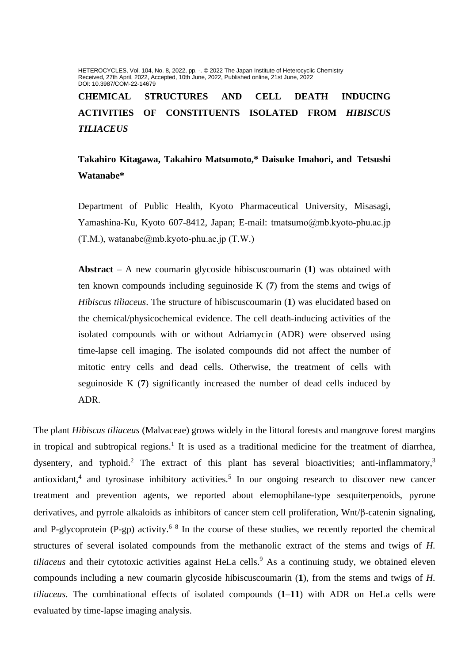HETEROCYCLES, Vol. 104, No. 8, 2022, pp. -. @ 2022 The Japan Institute of Heterocyclic Chemistry Received, 27th April, 2022, Accepted, 10th June, 2022, Published online, 21st June, 2022 DOI: 10.3987/COM-22-14679

**CHEMICAL STRUCTURES AND CELL DEATH INDUCING ACTIVITIES OF CONSTITUENTS ISOLATED FROM** *HIBISCUS TILIACEUS*

**Takahiro Kitagawa, Takahiro Matsumoto,\* Daisuke Imahori, and Tetsushi Watanabe\***

Department of Public Health, Kyoto Pharmaceutical University, Misasagi, Yamashina-Ku, Kyoto 607-8412, Japan; E-mail: [tmatsumo@mb.kyoto-phu.ac.jp](mailto:tmatsumo@mb.kyoto-phu.ac.jp)  $(T.M.)$ , watanabe@mb.kyoto-phu.ac.jp  $(T.W.)$ 

**Abstract** – A new coumarin glycoside hibiscuscoumarin (**1**) was obtained with ten known compounds including seguinoside K (**7**) from the stems and twigs of *Hibiscus tiliaceus*. The structure of hibiscuscoumarin (**1**) was elucidated based on the chemical/physicochemical evidence. The cell death-inducing activities of the isolated compounds with or without Adriamycin (ADR) were observed using time-lapse cell imaging. The isolated compounds did not affect the number of mitotic entry cells and dead cells. Otherwise, the treatment of cells with seguinoside K (**7**) significantly increased the number of dead cells induced by ADR.

The plant *Hibiscus tiliaceus* (Malvaceae) grows widely in the littoral forests and mangrove forest margins in tropical and subtropical regions.<sup>1</sup> It is used as a traditional medicine for the treatment of diarrhea, dysentery, and typhoid.<sup>2</sup> The extract of this plant has several bioactivities; anti-inflammatory,<sup>3</sup> antioxidant,<sup>4</sup> and tyrosinase inhibitory activities.<sup>5</sup> In our ongoing research to discover new cancer treatment and prevention agents, we reported about elemophilane-type sesquiterpenoids, pyrone derivatives, and pyrrole alkaloids as inhibitors of cancer stem cell proliferation,  $Wnt/\beta$ -catenin signaling, and P-glycoprotein (P-gp) activity.<sup>6-8</sup> In the course of these studies, we recently reported the chemical structures of several isolated compounds from the methanolic extract of the stems and twigs of *H. tiliaceus* and their cytotoxic activities against HeLa cells. <sup>9</sup> As a continuing study, we obtained eleven compounds including a new coumarin glycoside hibiscuscoumarin (**1**), from the stems and twigs of *H. tiliaceus*. The combinational effects of isolated compounds (**1**–**11**) with ADR on HeLa cells were evaluated by time-lapse imaging analysis.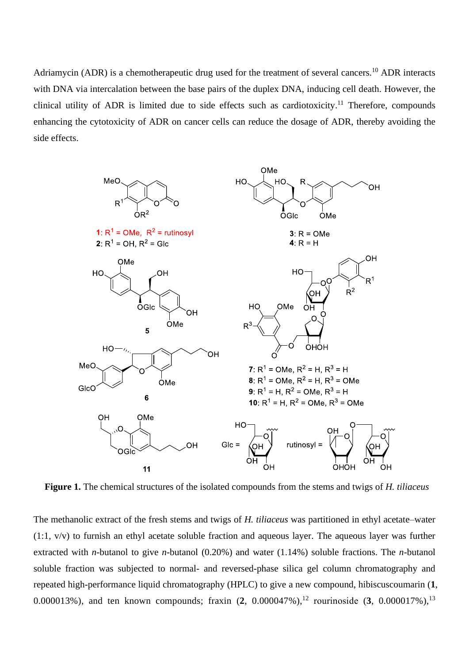Adriamycin (ADR) is a chemotherapeutic drug used for the treatment of several cancers.<sup>10</sup> ADR interacts with DNA via intercalation between the base pairs of the duplex DNA, inducing cell death. However, the clinical utility of ADR is limited due to side effects such as cardiotoxicity.<sup>11</sup> Therefore, compounds enhancing the cytotoxicity of ADR on cancer cells can reduce the dosage of ADR, thereby avoiding the side effects.



**Figure 1.** The chemical structures of the isolated compounds from the stems and twigs of *H. tiliaceus*

The methanolic extract of the fresh stems and twigs of *H. tiliaceus* was partitioned in ethyl acetate–water (1:1, v/v) to furnish an ethyl acetate soluble fraction and aqueous layer. The aqueous layer was further extracted with *n*-butanol to give *n*-butanol (0.20%) and water (1.14%) soluble fractions. The *n*-butanol soluble fraction was subjected to normal- and reversed-phase silica gel column chromatography and repeated high-performance liquid chromatography (HPLC) to give a new compound, hibiscuscoumarin (**1**, 0.000013%), and ten known compounds; fraxin (**2**, 0.000047%), <sup>12</sup> rourinoside (**3**, 0.000017%), 13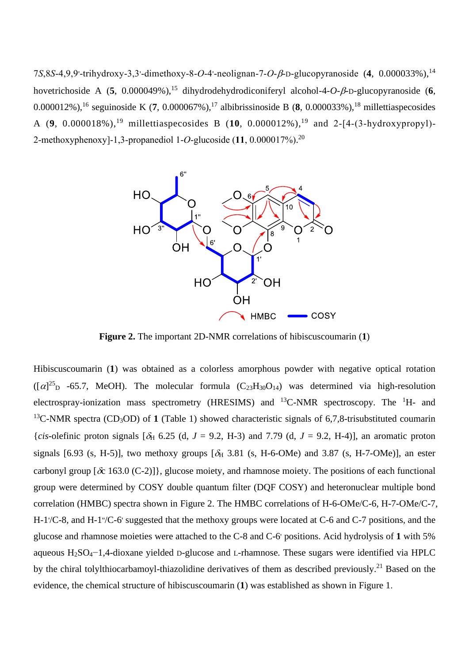7*S*,8*S*-4,9,9'-trihydroxy-3,3'-dimethoxy-8-*O*-4'-neolignan-7-*O-β*-D-glucopyranoside (4, 0.000033%),<sup>14</sup> hovetrichoside A (5, 0.000049%),<sup>15</sup> dihydrodehydrodiconiferyl alcohol-4-*O-β*-D-glucopyranoside (6, 0.000012%), 16 seguinoside K (**7**, 0.000067%), <sup>17</sup> albibrissinoside B (**8**, 0.000033%), <sup>18</sup> millettiaspecosides A (**9**, 0.000018%), <sup>19</sup> millettiaspecosides B (**10**, 0.000012%), <sup>19</sup> and 2-[4-(3-hydroxypropyl)- 2-methoxyphenoxy]-1,3-propanediol 1-*O*-glucoside (**11**, 0.000017%). 20



**Figure 2.** The important 2D-NMR correlations of hibiscuscoumarin (**1**)

Hibiscuscoumarin (**1**) was obtained as a colorless amorphous powder with negative optical rotation  $([\alpha]^{25}$  -65.7, MeOH). The molecular formula  $(C_{23}H_{30}O_{14})$  was determined via high-resolution electrospray-ionization mass spectrometry (HRESIMS) and  $^{13}$ C-NMR spectroscopy. The <sup>1</sup>H- and <sup>13</sup>C-NMR spectra (CD<sub>3</sub>OD) of **1** (Table 1) showed characteristic signals of 6,7,8-trisubstituted coumarin {*cis*-olefinic proton signals  $[\delta_H 6.25 \text{ (d, } J = 9.2, H-3)$  and 7.79 (d,  $J = 9.2, H-4$ )}, an aromatic proton signals [6.93 (s, H-5)], two methoxy groups  $[\delta_H$  3.81 (s, H-6-OMe) and 3.87 (s, H-7-OMe)], an ester carbonyl group  $\{\delta c \ 163.0 \ (C-2)\}\$ , glucose moiety, and rhamnose moiety. The positions of each functional group were determined by COSY double quantum filter (DQF COSY) and heteronuclear multiple bond correlation (HMBC) spectra shown in Figure 2. The HMBC correlations of H-6-OMe/C-6, H-7-OMe/C-7, H-1<sup>'</sup>/C-8, and H-1<sup>'</sup>/C-6' suggested that the methoxy groups were located at C-6 and C-7 positions, and the glucose and rhamnose moieties were attached to the C-8 and C-6' positions. Acid hydrolysis of **1** with 5% aqueous H2SO4−1,4-dioxane yielded D-glucose and L-rhamnose. These sugars were identified via HPLC by the chiral tolylthiocarbamoyl-thiazolidine derivatives of them as described previously.<sup>21</sup> Based on the evidence, the chemical structure of hibiscuscoumarin (**1**) was established as shown in Figure 1.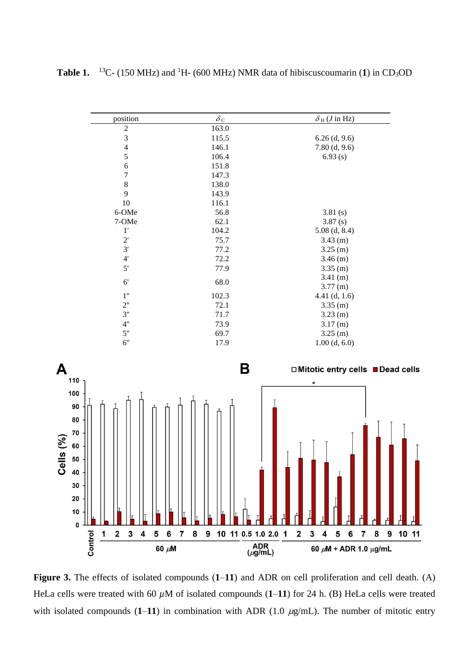position  $\delta_C$   $\delta_H (J \text{ in } HZ)$ 2 163.0 3 115.5 6.26 (d, 9.6) 4 146.1 7.80 (d, 9.6) 5 106.4 6.93 (s) 6 151.8 7 147.3 8 138.0 9 143.9 10 116.1 6-OMe 56.8 3.81 (s) 7-OMe 62.1 3.87 (s) 1' 104.2 5.08 (d, 8.4) 2' 75.7 3.43 (m) 3' 77.2 3.25 (m) 4' 72.2 3.46 (m) 5' 77.9 3.35 (m) 6' 68.0  $3.41 \text{ (m)}$ 3.77 (m) 1'' 102.3 4.41 (d, 1.6) 2" 72.1 3.35 (m)<br>3" 71.7 3.23 (m)  $3''$  71.7 3.23 (m)<br>4" 73.9 3.17 (m) 4" 73.9 3.17 (m)<br>5" 69.7 3.25 (m) 69.7 3.25 (m) 6'' 17.9 1.00 (d, 6.0)B A □ Mitotic entry cells ■ Dead cells 110 100 90 80 70 Cells (%) 60 50 40 30 20 10  $\mathbf{0}$  $\mathbf{1}$  $\overline{\mathbf{2}}$  $\mathbf{3}$  $\overline{\mathbf{4}}$ 5 6  $\overline{7}$ 8  $\boldsymbol{9}$ 10 11 0.5 1.0 2.0 1  $\mathbf 2$  $\mathbf{3}$  $\overline{\mathbf{4}}$ 5 6  $\overline{7}$ 8 9 10 11 Control

**Table 1.**  <sup>13</sup>C- (150 MHz) and <sup>1</sup>H- (600 MHz) NMR data of hibiscuscoumarin (1) in CD<sub>3</sub>OD

**Figure 3.** The effects of isolated compounds (**1**–**11**) and ADR on cell proliferation and cell death. (A) HeLa cells were treated with 60  $\mu$ M of isolated compounds (1–11) for 24 h. (B) HeLa cells were treated with isolated compounds  $(1-11)$  in combination with ADR  $(1.0 \ \mu g/mL)$ . The number of mitotic entry

60 µM

 $ADR$ <br>( $\mu$ g/mL)

60  $\mu$ M + ADR 1.0  $\mu$ g/mL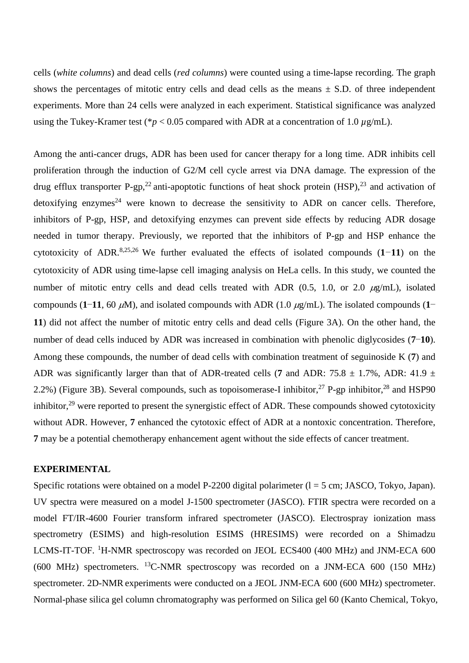cells (*white columns*) and dead cells (*red columns*) were counted using a time-lapse recording. The graph shows the percentages of mitotic entry cells and dead cells as the means  $\pm$  S.D. of three independent experiments. More than 24 cells were analyzed in each experiment. Statistical significance was analyzed using the Tukey-Kramer test (\* $p < 0.05$  compared with ADR at a concentration of 1.0  $\mu$ g/mL).

Among the anti-cancer drugs, ADR has been used for cancer therapy for a long time. ADR inhibits cell proliferation through the induction of G2/M cell cycle arrest via DNA damage. The expression of the drug efflux transporter P-gp,<sup>22</sup> anti-apoptotic functions of heat shock protein  $(HSP)$ ,<sup>23</sup> and activation of detoxifying enzymes<sup>24</sup> were known to decrease the sensitivity to ADR on cancer cells. Therefore, inhibitors of P-gp, HSP, and detoxifying enzymes can prevent side effects by reducing ADR dosage needed in tumor therapy. Previously, we reported that the inhibitors of P-gp and HSP enhance the cytotoxicity of ADR. 8,25,26 We further evaluated the effects of isolated compounds (**1**−**11**) on the cytotoxicity of ADR using time-lapse cell imaging analysis on HeLa cells. In this study, we counted the number of mitotic entry cells and dead cells treated with ADR  $(0.5, 1.0, \text{or } 2.0 \mu\text{g/mL})$ , isolated compounds (**1−11**, 60  $\mu$ M), and isolated compounds with ADR (1.0  $\mu$ g/mL). The isolated compounds (**1**− **11**) did not affect the number of mitotic entry cells and dead cells (Figure 3A). On the other hand, the number of dead cells induced by ADR was increased in combination with phenolic diglycosides (**7**−**10**). Among these compounds, the number of dead cells with combination treatment of seguinoside K (**7**) and ADR was significantly larger than that of ADR-treated cells (7 and ADR:  $75.8 \pm 1.7$ %, ADR:  $41.9 \pm 1.7$ 2.2%) (Figure 3B). Several compounds, such as topoisomerase-I inhibitor,<sup>27</sup> P-gp inhibitor,<sup>28</sup> and HSP90 inhibitor,<sup>29</sup> were reported to present the synergistic effect of ADR. These compounds showed cytotoxicity without ADR. However, **7** enhanced the cytotoxic effect of ADR at a nontoxic concentration. Therefore, **7** may be a potential chemotherapy enhancement agent without the side effects of cancer treatment.

## **EXPERIMENTAL**

Specific rotations were obtained on a model P-2200 digital polarimeter  $(l = 5$  cm; JASCO, Tokyo, Japan). UV spectra were measured on a model J-1500 spectrometer (JASCO). FTIR spectra were recorded on a model FT/IR-4600 Fourier transform infrared spectrometer (JASCO). Electrospray ionization mass spectrometry (ESIMS) and high-resolution ESIMS (HRESIMS) were recorded on a Shimadzu LCMS-IT-TOF. <sup>1</sup>H-NMR spectroscopy was recorded on JEOL ECS400 (400 MHz) and JNM-ECA 600  $(600 \text{ MHz})$  spectrometers. <sup>13</sup>C-NMR spectroscopy was recorded on a JNM-ECA 600 (150 MHz) spectrometer. 2D-NMR experiments were conducted on a JEOL JNM-ECA 600 (600 MHz) spectrometer. Normal-phase silica gel column chromatography was performed on Silica gel 60 (Kanto Chemical, Tokyo,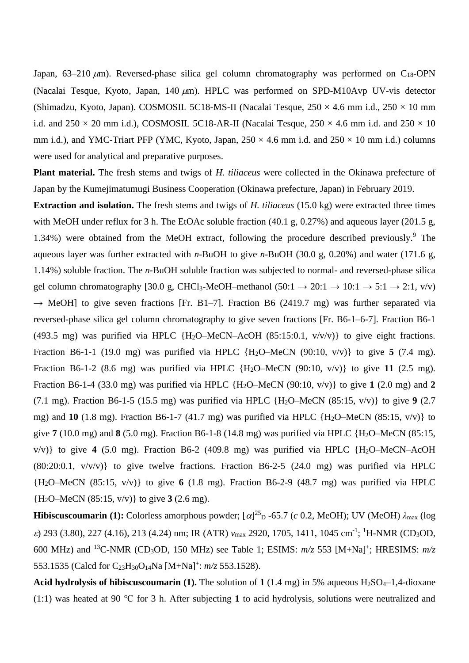Japan, 63–210  $\mu$ m). Reversed-phase silica gel column chromatography was performed on C<sub>18</sub>-OPN (Nacalai Tesque, Kyoto, Japan, 140  $\mu$ m). HPLC was performed on SPD-M10Avp UV-vis detector (Shimadzu, Kyoto, Japan). COSMOSIL 5C18-MS-II (Nacalai Tesque,  $250 \times 4.6$  mm i.d.,  $250 \times 10$  mm i.d. and  $250 \times 20$  mm i.d.), COSMOSIL 5C18-AR-II (Nacalai Tesque,  $250 \times 4.6$  mm i.d. and  $250 \times 10$ mm i.d.), and YMC-Triart PFP (YMC, Kyoto, Japan,  $250 \times 4.6$  mm i.d. and  $250 \times 10$  mm i.d.) columns were used for analytical and preparative purposes.

**Plant material.** The fresh stems and twigs of *H. tiliaceus* were collected in the Okinawa prefecture of Japan by the Kumejimatumugi Business Cooperation (Okinawa prefecture, Japan) in February 2019.

**Extraction and isolation.** The fresh stems and twigs of *H. tiliaceus* (15.0 kg) were extracted three times with MeOH under reflux for 3 h. The EtOAc soluble fraction (40.1 g, 0.27%) and aqueous layer (201.5 g, 1.34%) were obtained from the MeOH extract, following the procedure described previously. <sup>9</sup> The aqueous layer was further extracted with *n*-BuOH to give *n*-BuOH (30.0 g, 0.20%) and water (171.6 g, 1.14%) soluble fraction. The *n*-BuOH soluble fraction was subjected to normal- and reversed-phase silica gel column chromatography [30.0 g, CHCl<sub>3</sub>-MeOH–methanol (50:1  $\rightarrow$  20:1  $\rightarrow$  10:1  $\rightarrow$  5:1  $\rightarrow$  2:1, v/v)  $\rightarrow$  MeOH] to give seven fractions [Fr. B1-7]. Fraction B6 (2419.7 mg) was further separated via reversed-phase silica gel column chromatography to give seven fractions [Fr. B6-1–6-7]. Fraction B6-1 (493.5 mg) was purified via HPLC {H<sub>2</sub>O–MeCN–AcOH (85:15:0.1,  $v/v/v$ }} to give eight fractions. Fraction B6-1-1 (19.0 mg) was purified via HPLC {H2O–MeCN (90:10, v/v)} to give **5** (7.4 mg). Fraction B6-1-2 (8.6 mg) was purified via HPLC  ${H_2O-MeCN}$  (90:10, v/v)} to give 11 (2.5 mg). Fraction B6-1-4 (33.0 mg) was purified via HPLC  ${H_2O-MeCN (90:10, v/v)}$  to give 1 (2.0 mg) and 2 (7.1 mg). Fraction B6-1-5 (15.5 mg) was purified via HPLC {H2O–MeCN (85:15, v/v)} to give **9** (2.7 mg) and **10** (1.8 mg). Fraction B6-1-7 (41.7 mg) was purified via HPLC  ${H_2O-MeCN}$  (85:15, v/v) to give **7** (10.0 mg) and **8** (5.0 mg). Fraction B6-1-8 (14.8 mg) was purified via HPLC {H2O–MeCN (85:15, v/v)} to give **4** (5.0 mg). Fraction B6-2 (409.8 mg) was purified via HPLC {H2O–MeCN–AcOH  $(80:20:0.1, v/v/v)$  to give twelve fractions. Fraction B6-2-5  $(24.0 \text{ mg})$  was purified via HPLC {H2O–MeCN (85:15, v/v)} to give **6** (1.8 mg). Fraction B6-2-9 (48.7 mg) was purified via HPLC {H2O–MeCN (85:15, v/v)} to give **3** (2.6 mg).

**Hibiscuscoumarin** (1): Colorless amorphous powder;  $[\alpha]^{25}$  D -65.7 (*c* 0.2, MeOH); UV (MeOH)  $\lambda_{\text{max}}$  (log  $\varepsilon$ ) 293 (3.80), 227 (4.16), 213 (4.24) nm; IR (ATR)  $v_{\text{max}}$  2920, 1705, 1411, 1045 cm<sup>-1</sup>; <sup>1</sup>H-NMR (CD<sub>3</sub>OD, 600 MHz) and <sup>13</sup>C-NMR (CD3OD, 150 MHz) see Table 1; ESIMS: *m/z* 553 [M+Na]<sup>+</sup> ; HRESIMS: *m/z* 553.1535 (Calcd for C23H30O14Na [M+Na]<sup>+</sup> : *m/z* 553.1528).

**Acid hydrolysis of hibiscuscoumarin** (1). The solution of  $1(1.4 \text{ mg})$  in 5% aqueous H<sub>2</sub>SO<sub>4</sub>–1,4-dioxane (1:1) was heated at 90 ℃ for 3 h. After subjecting **1** to acid hydrolysis, solutions were neutralized and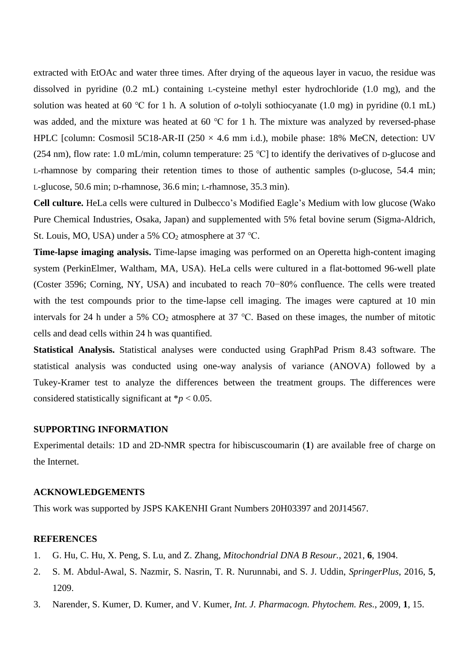extracted with EtOAc and water three times. After drying of the aqueous layer in vacuo, the residue was dissolved in pyridine (0.2 mL) containing L-cysteine methyl ester hydrochloride (1.0 mg), and the solution was heated at 60 ℃ for 1 h. A solution of *o*-tolyli sothiocyanate (1.0 mg) in pyridine (0.1 mL) was added, and the mixture was heated at 60 ℃ for 1 h. The mixture was analyzed by reversed-phase HPLC [column: Cosmosil 5C18-AR-II (250  $\times$  4.6 mm i.d.), mobile phase: 18% MeCN, detection: UV (254 nm), flow rate: 1.0 mL/min, column temperature: 25 ℃] to identify the derivatives of D-glucose and L-rhamnose by comparing their retention times to those of authentic samples (D-glucose, 54.4 min; L-glucose, 50.6 min; D-rhamnose, 36.6 min; L-rhamnose, 35.3 min).

**Cell culture.** HeLa cells were cultured in Dulbecco's Modified Eagle's Medium with low glucose (Wako Pure Chemical Industries, Osaka, Japan) and supplemented with 5% fetal bovine serum (Sigma-Aldrich, St. Louis, MO, USA) under a 5%  $CO<sub>2</sub>$  atmosphere at 37 °C.

**Time-lapse imaging analysis.** Time-lapse imaging was performed on an Operetta high-content imaging system (PerkinElmer, Waltham, MA, USA). HeLa cells were cultured in a flat-bottomed 96-well plate (Coster 3596; Corning, NY, USA) and incubated to reach 70−80% confluence. The cells were treated with the test compounds prior to the time-lapse cell imaging. The images were captured at 10 min intervals for 24 h under a 5%  $CO_2$  atmosphere at 37 °C. Based on these images, the number of mitotic cells and dead cells within 24 h was quantified.

**Statistical Analysis.** Statistical analyses were conducted using GraphPad Prism 8.43 software. The statistical analysis was conducted using one-way analysis of variance (ANOVA) followed by a Tukey-Kramer test to analyze the differences between the treatment groups. The differences were considered statistically significant at  $\frac{*p}{>0.05}$ .

## **SUPPORTING INFORMATION**

Experimental details: 1D and 2D-NMR spectra for hibiscuscoumarin (**1**) are available free of charge on the Internet.

## **ACKNOWLEDGEMENTS**

This work was supported by JSPS KAKENHI Grant Numbers 20H03397 and 20J14567.

## **REFERENCES**

- 1. G. Hu, C. Hu, X. Peng, S. Lu, and Z. Zhang, *Mitochondrial DNA B Resour.*, 2021, **6**, 1904.
- 2. S. M. Abdul-Awal, S. Nazmir, S. Nasrin, T. R. Nurunnabi, and S. J. Uddin, *SpringerPlus*, 2016, **5**, 1209.
- 3. Narender, S. Kumer, D. Kumer, and V. Kumer, *Int. J. Pharmacogn. Phytochem. Res.*, 2009, **1**, 15.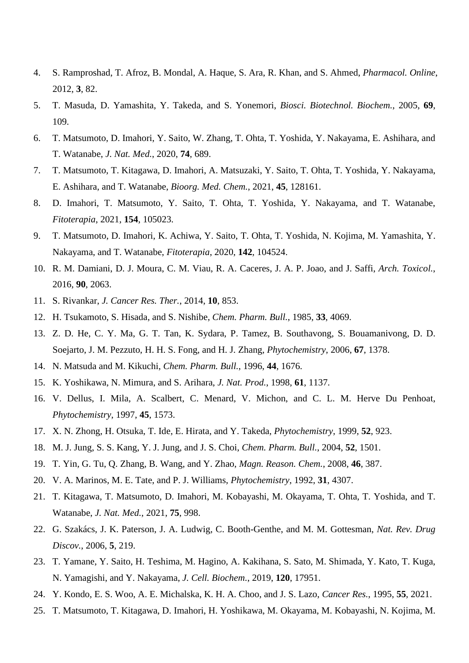- 4. S. Ramproshad, T. Afroz, B. Mondal, A. Haque, S. Ara, R. Khan, and S. Ahmed, *Pharmacol. Online*, 2012, **3**, 82.
- 5. T. Masuda, D. Yamashita, Y. Takeda, and S. Yonemori, *Biosci. Biotechnol. Biochem.*, 2005, **69**, 109.
- 6. T. Matsumoto, D. Imahori, Y. Saito, W. Zhang, T. Ohta, T. Yoshida, Y. Nakayama, E. Ashihara, and T. Watanabe, *J. Nat. Med.*, 2020, **74**, 689.
- 7. T. Matsumoto, T. Kitagawa, D. Imahori, A. Matsuzaki, Y. Saito, T. Ohta, T. Yoshida, Y. Nakayama, E. Ashihara, and T. Watanabe, *Bioorg. Med. Chem.*, 2021, **45**, 128161.
- 8. D. Imahori, T. Matsumoto, Y. Saito, T. Ohta, T. Yoshida, Y. Nakayama, and T. Watanabe, *Fitoterapia*, 2021, **154**, 105023.
- 9. T. Matsumoto, D. Imahori, K. Achiwa, Y. Saito, T. Ohta, T. Yoshida, N. Kojima, M. Yamashita, Y. Nakayama, and T. Watanabe, *Fitoterapia*, 2020, **142**, 104524.
- 10. R. M. Damiani, D. J. Moura, C. M. Viau, R. A. Caceres, J. A. P. Joao, and J. Saffi, *Arch. Toxicol.*, 2016, **90**, 2063.
- 11. S. Rivankar, *J. Cancer Res. Ther.*, 2014, **10**, 853.
- 12. H. Tsukamoto, S. Hisada, and S. Nishibe, *Chem. Pharm. Bull.*, 1985, **33**, 4069.
- 13. Z. D. He, C. Y. Ma, G. T. Tan, K. Sydara, P. Tamez, B. Southavong, S. Bouamanivong, D. D. Soejarto, J. M. Pezzuto, H. H. S. Fong, and H. J. Zhang, *Phytochemistry*, 2006, **67**, 1378.
- 14. N. Matsuda and M. Kikuchi, *Chem. Pharm. Bull.*, 1996, **44**, 1676.
- 15. K. Yoshikawa, N. Mimura, and S. Arihara, *J. Nat. Prod.*, 1998, **61**, 1137.
- 16. V. Dellus, I. Mila, A. Scalbert, C. Menard, V. Michon, and C. L. M. Herve Du Penhoat, *Phytochemistry*, 1997, **45**, 1573.
- 17. X. N. Zhong, H. Otsuka, T. Ide, E. Hirata, and Y. Takeda, *Phytochemistry*, 1999, **52**, 923.
- 18. M. J. Jung, S. S. Kang, Y. J. Jung, and J. S. Choi, *Chem. Pharm. Bull.*, 2004, **52**, 1501.
- 19. T. Yin, G. Tu, Q. Zhang, B. Wang, and Y. Zhao, *Magn. Reason. Chem.*, 2008, **46**, 387.
- 20. V. A. Marinos, M. E. Tate, and P. J. Williams, *Phytochemistry*, 1992, **31**, 4307.
- 21. T. Kitagawa, T. Matsumoto, D. Imahori, M. Kobayashi, M. Okayama, T. Ohta, T. Yoshida, and T. Watanabe, *J. Nat. Med.*, 2021, **75**, 998.
- 22. G. Szakács, J. K. Paterson, J. A. Ludwig, C. Booth-Genthe, and M. M. Gottesman, *Nat. Rev. Drug Discov.*, 2006, **5**, 219.
- 23. T. Yamane, Y. Saito, H. Teshima, M. Hagino, A. Kakihana, S. Sato, M. Shimada, Y. Kato, T. Kuga, N. Yamagishi, and Y. Nakayama, *J. Cell. Biochem.*, 2019, **120**, 17951.
- 24. Y. Kondo, E. S. Woo, A. E. Michalska, K. H. A. Choo, and J. S. Lazo, *Cancer Res.*, 1995, **55**, 2021.
- 25. T. Matsumoto, T. Kitagawa, D. Imahori, H. Yoshikawa, M. Okayama, M. Kobayashi, N. Kojima, M.